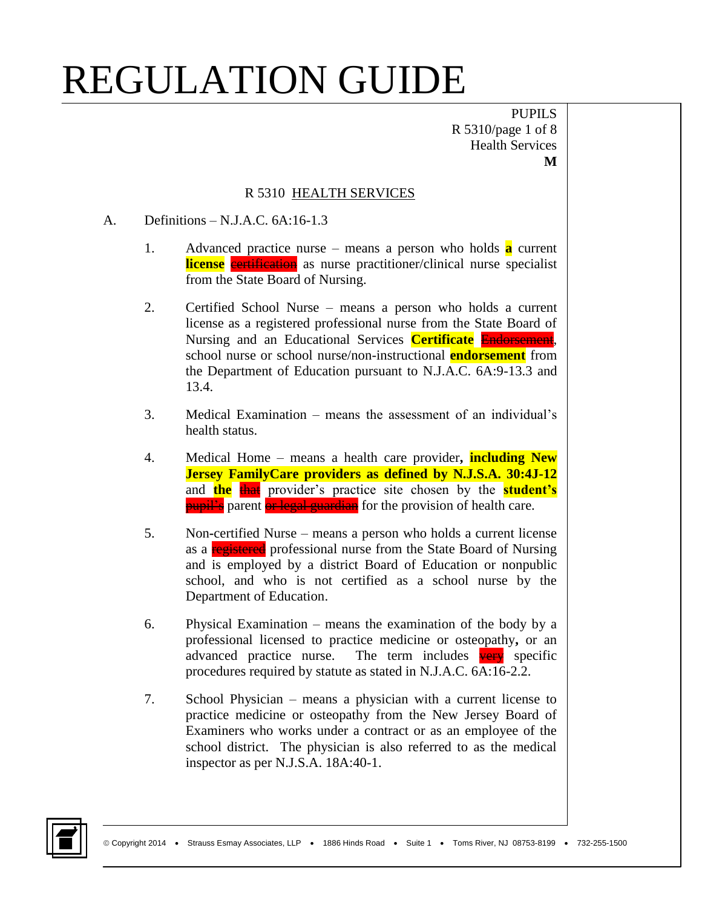PUPILS R 5310/page 1 of 8 Health Services **M**

#### R 5310 HEALTH SERVICES

#### A. Definitions – N.J.A.C. 6A:16-1.3

- 1. Advanced practice nurse means a person who holds **a** current **license** exertification as nurse practitioner/clinical nurse specialist from the State Board of Nursing.
- 2. Certified School Nurse means a person who holds a current license as a registered professional nurse from the State Board of Nursing and an Educational Services **Certificate** Endorsement, school nurse or school nurse/non-instructional **endorsement** from the Department of Education pursuant to N.J.A.C. 6A:9-13.3 and 13.4.
- 3. Medical Examination means the assessment of an individual's health status.
- 4. Medical Home means a health care provider**, including New Jersey FamilyCare providers as defined by N.J.S.A. 30:4J-12** and **the** that provider's practice site chosen by the **student's pupil's** parent or legal guardian for the provision of health care.
- 5. Non**-**certified Nurse means a person who holds a current license as a registered professional nurse from the State Board of Nursing and is employed by a district Board of Education or nonpublic school, and who is not certified as a school nurse by the Department of Education.
- 6. Physical Examination means the examination of the body by a professional licensed to practice medicine or osteopathy**,** or an advanced practice nurse. The term includes very specific procedures required by statute as stated in N.J.A.C. 6A:16-2.2.
- 7. School Physician means a physician with a current license to practice medicine or osteopathy from the New Jersey Board of Examiners who works under a contract or as an employee of the school district. The physician is also referred to as the medical inspector as per N.J.S.A. 18A:40-1.

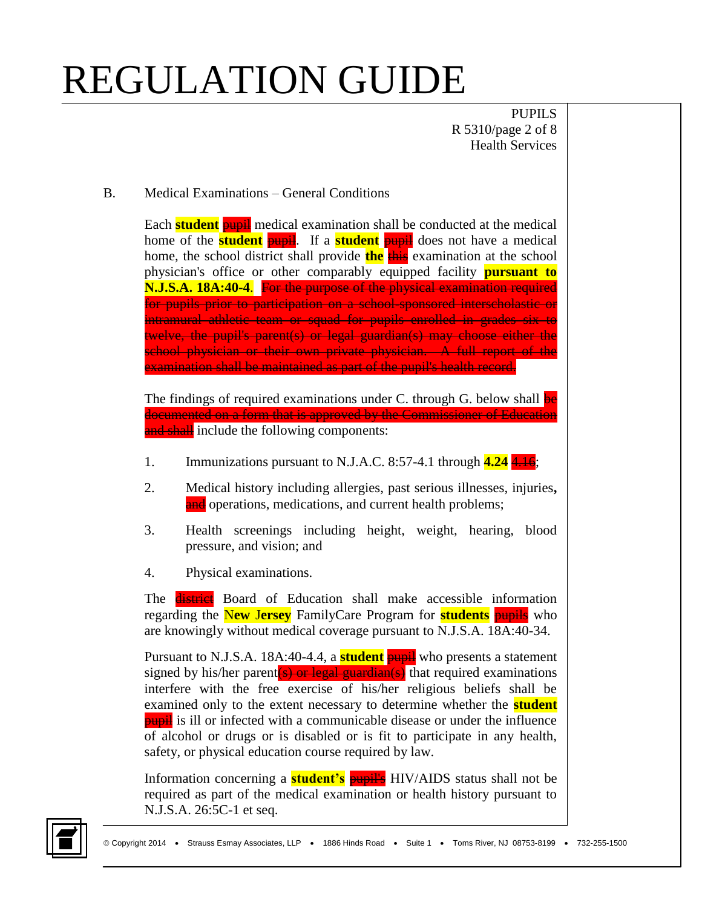PUPILS R 5310/page 2 of 8 Health Services

B. Medical Examinations – General Conditions

Each **student** pupil medical examination shall be conducted at the medical home of the **student pupil**. If a **student pupil** does not have a medical home, the school district shall provide **the** this examination at the school physician's office or other comparably equipped facility **pursuant to N.J.S.A. 18A:40-4**. For the purpose of the physical examination required for pupils prior to participation on a school-sponsored interscholastic or intramural athletic team or squad for pupils enrolled in grades six to twelve, the pupil's parent(s) or legal guardian(s) may choose either the school physician or their own private physician. A full report of the examination shall be maintained as part of the pupil's health record.

The findings of required examinations under C. through G. below shall be documented on a form that is approved by the Commissioner of Education and shall include the following components:

- 1. Immunizations pursuant to N.J.A.C. 8:57-4.1 through **4.24** 4.16;
- 2. Medical history including allergies, past serious illnesses, injuries**,** and operations, medications, and current health problems;
- 3. Health screenings including height, weight, hearing, blood pressure, and vision; and
- 4. Physical examinations.

The **district** Board of Education shall make accessible information regarding the N**ew** J**ersey** FamilyCare Program for **students** pupils who are knowingly without medical coverage pursuant to N.J.S.A. 18A:40-34.

Pursuant to N.J.S.A. 18A:40-4.4, a **student pupil** who presents a statement signed by his/her parent(s) or legal guardian(s) that required examinations interfere with the free exercise of his/her religious beliefs shall be examined only to the extent necessary to determine whether the **student pupil** is ill or infected with a communicable disease or under the influence of alcohol or drugs or is disabled or is fit to participate in any health, safety, or physical education course required by law.

Information concerning a **student's** pupille HIV/AIDS status shall not be required as part of the medical examination or health history pursuant to N.J.S.A. 26:5C-1 et seq.

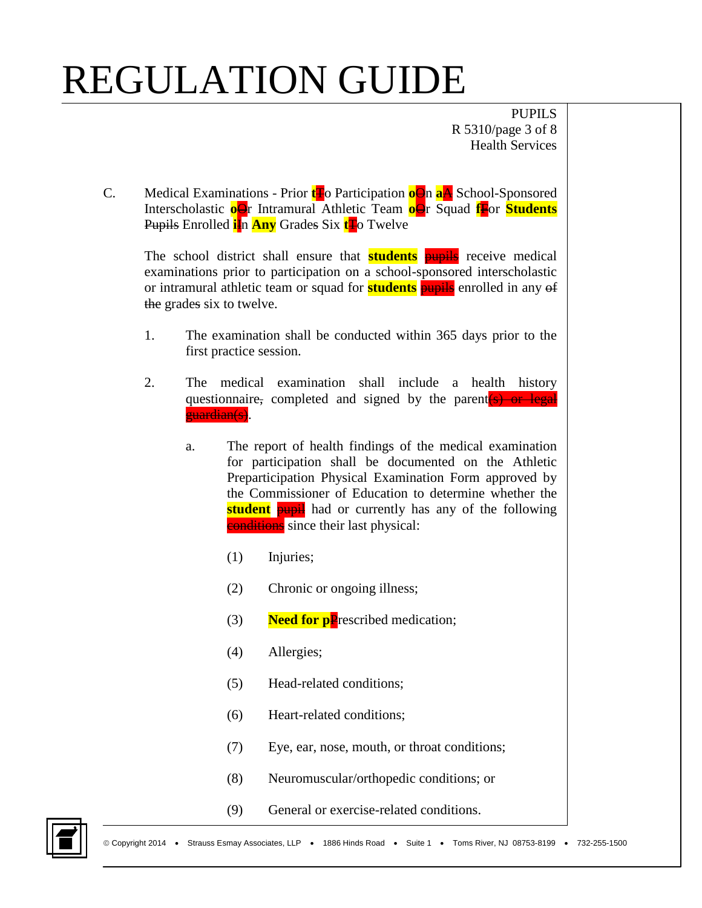PUPILS R 5310/page 3 of 8 Health Services

C. Medical Examinations - Prior **t**To Participation **o**On **a**A School-Sponsored Interscholastic **o**Or Intramural Athletic Team **o**Or Squad **f**For **Students** Pupils Enrolled **i**n **Any** Grades Six **t**Fo Twelve

The school district shall ensure that **students** pupils receive medical examinations prior to participation on a school-sponsored interscholastic or intramural athletic team or squad for **students** pupils enrolled in any of the grades six to twelve.

- 1. The examination shall be conducted within 365 days prior to the first practice session.
- 2. The medical examination shall include a health history questionnaire, completed and signed by the parent (s) or legal guardian(s).
	- a. The report of health findings of the medical examination for participation shall be documented on the Athletic Preparticipation Physical Examination Form approved by the Commissioner of Education to determine whether the **student pupil** had or currently has any of the following **conditions** since their last physical:
		- (1) Injuries;
		- (2) Chronic or ongoing illness;
		- (3) **Need for p**Prescribed medication;
		- (4) Allergies;
		- (5) Head-related conditions;
		- (6) Heart-related conditions;
		- (7) Eye, ear, nose, mouth, or throat conditions;
		- (8) Neuromuscular/orthopedic conditions; or
		- (9) General or exercise-related conditions.

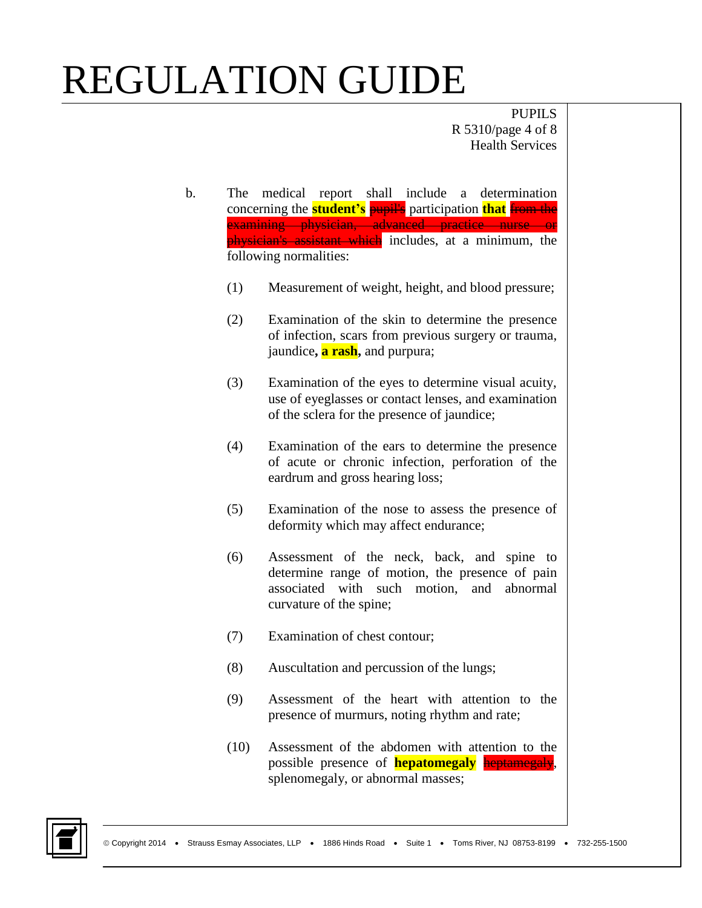PUPILS R 5310/page 4 of 8 Health Services

- b. The medical report shall include a determination concerning the **student's** pupil's participation **that** from the examining physician, advanced practice nurse or physician's assistant which includes, at a minimum, the following normalities:
	- (1) Measurement of weight, height, and blood pressure;
	- (2) Examination of the skin to determine the presence of infection, scars from previous surgery or trauma, jaundice**, a rash,** and purpura;
	- (3) Examination of the eyes to determine visual acuity, use of eyeglasses or contact lenses, and examination of the sclera for the presence of jaundice;
	- (4) Examination of the ears to determine the presence of acute or chronic infection, perforation of the eardrum and gross hearing loss;
	- (5) Examination of the nose to assess the presence of deformity which may affect endurance;
	- (6) Assessment of the neck, back, and spine to determine range of motion, the presence of pain associated with such motion, and abnormal curvature of the spine;
	- (7) Examination of chest contour;
	- (8) Auscultation and percussion of the lungs;
	- (9) Assessment of the heart with attention to the presence of murmurs, noting rhythm and rate;
	- (10) Assessment of the abdomen with attention to the possible presence of **hepatomegaly** heptamegaly, splenomegaly, or abnormal masses;

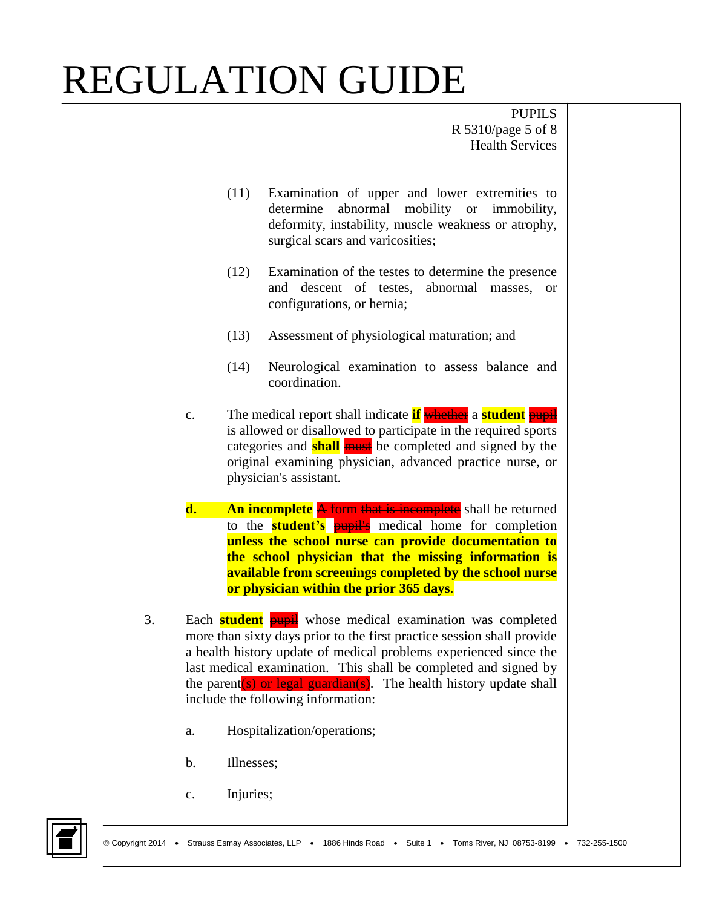PUPILS R 5310/page 5 of 8 Health Services

- (11) Examination of upper and lower extremities to determine abnormal mobility or immobility, deformity, instability, muscle weakness or atrophy, surgical scars and varicosities;
- (12) Examination of the testes to determine the presence and descent of testes, abnormal masses, or configurations, or hernia;
- (13) Assessment of physiological maturation; and
- (14) Neurological examination to assess balance and coordination.
- c. The medical report shall indicate **if** whether a **student** pupil is allowed or disallowed to participate in the required sports categories and **shall** must be completed and signed by the original examining physician, advanced practice nurse, or physician's assistant.
- **d.** An incomplete A form that is incomplete shall be returned to the **student's** pupil's medical home for completion **unless the school nurse can provide documentation to the school physician that the missing information is available from screenings completed by the school nurse or physician within the prior 365 days**.
- 3. Each **student** pupil whose medical examination was completed more than sixty days prior to the first practice session shall provide a health history update of medical problems experienced since the last medical examination. This shall be completed and signed by the parent  $(s)$  or legal guardian(s). The health history update shall include the following information:
	- a. Hospitalization/operations;
	- b. Illnesses;
	- c. Injuries;

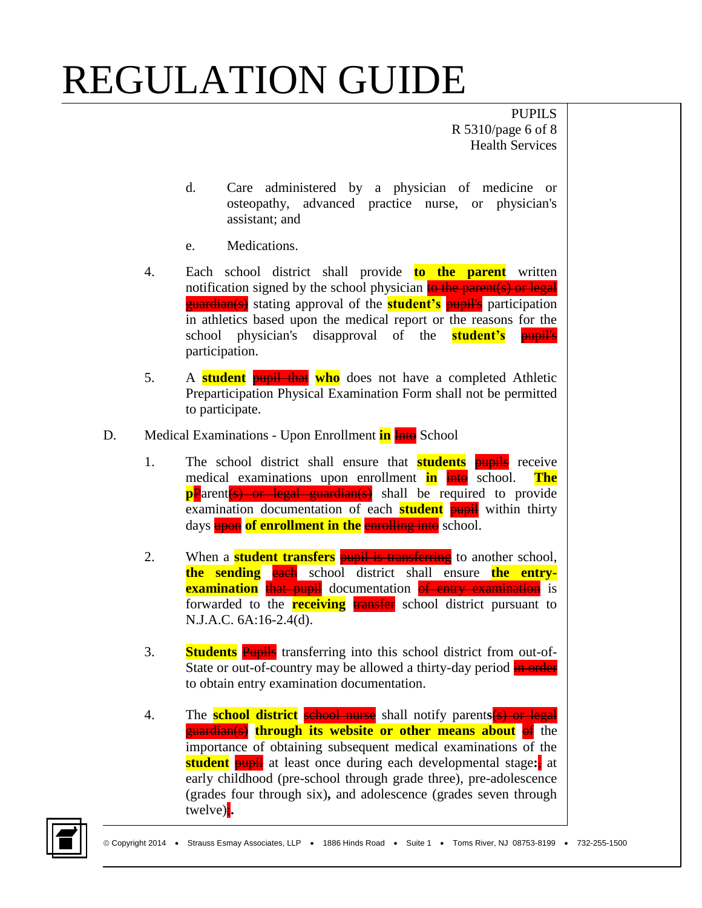PUPILS R 5310/page 6 of 8 Health Services

- d. Care administered by a physician of medicine or osteopathy, advanced practice nurse, or physician's assistant; and
- e. Medications.
- 4. Each school district shall provide **to the parent** written notification signed by the school physician to the parent(s) or legal guardian(s) stating approval of the **student's** pupil's participation in athletics based upon the medical report or the reasons for the school physician's disapproval of the **student's** pupil's participation.
- 5. A **student** pupil that **who** does not have a completed Athletic Preparticipation Physical Examination Form shall not be permitted to participate.
- D. Medical Examinations Upon Enrollment **in late** School
	- 1. The school district shall ensure that **students** pupils receive medical examinations upon enrollment **in** intervalsion. The **pP**arent(s) or legal guardian(s) shall be required to provide examination documentation of each **student pupil** within thirty days **upon** of enrollment in the enrolling into school.
	- 2. When a **student transfers pupil is transferring** to another school, **the sending each** school district shall ensure **the entryexamination** that pupil documentation of entry examination is forwarded to the **receiving** transfer school district pursuant to N.J.A.C. 6A:16-2.4(d).
	- 3. **Students** Pupils transferring into this school district from out-of-State or out-of-country may be allowed a thirty-day period in order to obtain entry examination documentation.
	- 4. The **school district** school nurse shall notify parents (s) or legal **guardian(s) through its website or other means about** of the importance of obtaining subsequent medical examinations of the **student pupil** at least once during each developmental stage: at early childhood (pre-school through grade three), pre-adolescence (grades four through six)**,** and adolescence (grades seven through twelve);**.**

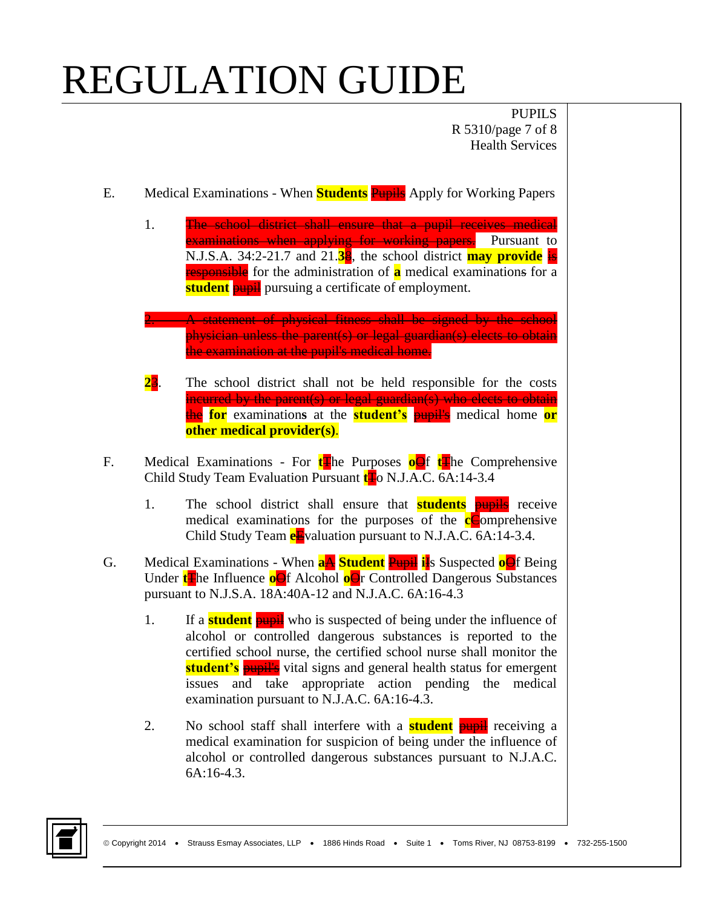PUPILS R 5310/page 7 of 8 Health Services

- E. Medical Examinations When **Students** Pupils Apply for Working Papers
	- 1. The school district shall ensure that a pupil receives medical examinations when applying for working papers. Pursuant to N.J.S.A. 34:2-21.7 and 21.**3**8, the school district **may provide** is responsible for the administration of **a** medical examinations for a **student pupil** pursuing a certificate of employment.
	- **2. A statement of physical fitness shall be signed by the school** physician unless the parent(s) or legal guardian(s) elects to obtain the examination at the pupil's medical home.
	- **2**3. The school district shall not be held responsible for the costs incurred by the parent(s) or legal guardian(s) who elects to obtain the **for** examination**s** at the **student's** pupil's medical home **or other medical provider(s)**.
- F. Medical Examinations For **t**The Purposes **o**Of **t**The Comprehensive Child Study Team Evaluation Pursuant **t**To N.J.A.C. 6A:14-3.4
	- 1. The school district shall ensure that **students** pupils receive medical examinations for the purposes of the **c**Comprehensive Child Study Team **e**Evaluation pursuant to N.J.A.C. 6A:14-3.4.
- G. Medical Examinations When **a**A **Student** Pupil **i**Is Suspected **o**Of Being Under **t**The Influence **o**Of Alcohol **oO**r Controlled Dangerous Substances pursuant to N.J.S.A. 18A:40A-12 and N.J.A.C. 6A:16-4.3
	- 1. If a **student pupil** who is suspected of being under the influence of alcohol or controlled dangerous substances is reported to the certified school nurse, the certified school nurse shall monitor the **student's pupil's** vital signs and general health status for emergent issues and take appropriate action pending the medical examination pursuant to N.J.A.C. 6A:16-4.3.
	- 2. No school staff shall interfere with a **student** pupil receiving a medical examination for suspicion of being under the influence of alcohol or controlled dangerous substances pursuant to N.J.A.C.  $6A:16-4.3$